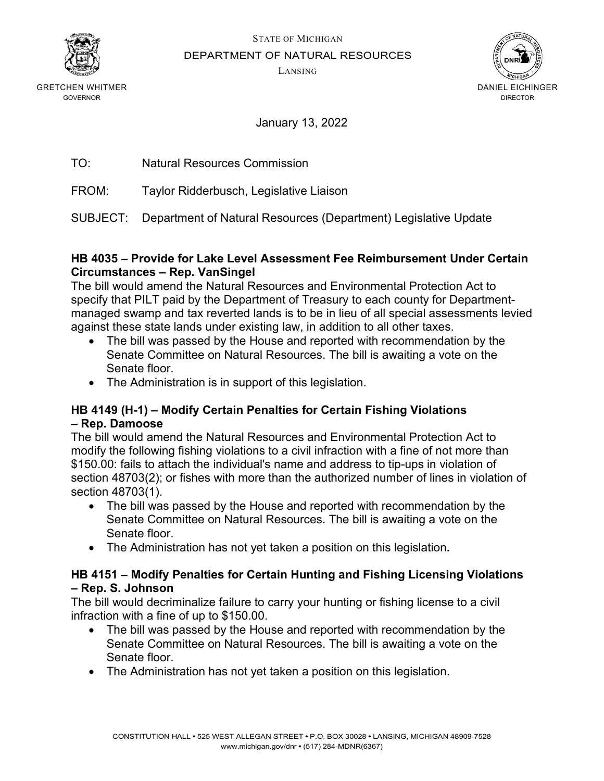

STATE OF MICHIGAN

DEPARTMENT OF NATURAL RESOURCES

LANSING



GRETCHEN WHITMER GOVERNOR

January 13, 2022

TO: Natural Resources Commission

FROM: Taylor Ridderbusch, Legislative Liaison

SUBJECT: Department of Natural Resources (Department) Legislative Update

#### **HB 4035 – Provide for Lake Level Assessment Fee Reimbursement Under Certain Circumstances – Rep. VanSingel**

The bill would amend the Natural Resources and Environmental Protection Act to specify that PILT paid by the Department of Treasury to each county for Departmentmanaged swamp and tax reverted lands is to be in lieu of all special assessments levied against these state lands under existing law, in addition to all other taxes.

- The bill was passed by the House and reported with recommendation by the Senate Committee on Natural Resources. The bill is awaiting a vote on the Senate floor.
- The Administration is in support of this legislation.

## **HB 4149 (H-1) – Modify Certain Penalties for Certain Fishing Violations – Rep. Damoose**

The bill would amend the Natural Resources and Environmental Protection Act to modify the following fishing violations to a civil infraction with a fine of not more than \$150.00: fails to attach the individual's name and address to tip-ups in violation of section 48703(2); or fishes with more than the authorized number of lines in violation of section 48703(1).

- The bill was passed by the House and reported with recommendation by the Senate Committee on Natural Resources. The bill is awaiting a vote on the Senate floor.
- The Administration has not yet taken a position on this legislation**.**

#### **HB 4151 – Modify Penalties for Certain Hunting and Fishing Licensing Violations – Rep. S. Johnson**

The bill would decriminalize failure to carry your hunting or fishing license to a civil infraction with a fine of up to \$150.00.

- The bill was passed by the House and reported with recommendation by the Senate Committee on Natural Resources. The bill is awaiting a vote on the Senate floor.
- The Administration has not yet taken a position on this legislation.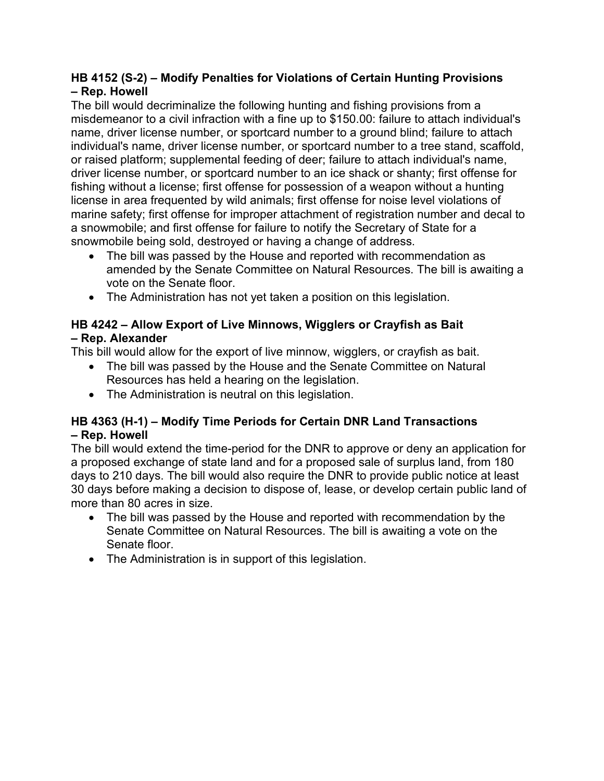## **HB 4152 (S-2) – Modify Penalties for Violations of Certain Hunting Provisions – Rep. Howell**

The bill would decriminalize the following hunting and fishing provisions from a misdemeanor to a civil infraction with a fine up to \$150.00: failure to attach individual's name, driver license number, or sportcard number to a ground blind; failure to attach individual's name, driver license number, or sportcard number to a tree stand, scaffold, or raised platform; supplemental feeding of deer; failure to attach individual's name, driver license number, or sportcard number to an ice shack or shanty; first offense for fishing without a license; first offense for possession of a weapon without a hunting license in area frequented by wild animals; first offense for noise level violations of marine safety; first offense for improper attachment of registration number and decal to a snowmobile; and first offense for failure to notify the Secretary of State for a snowmobile being sold, destroyed or having a change of address.

- The bill was passed by the House and reported with recommendation as amended by the Senate Committee on Natural Resources. The bill is awaiting a vote on the Senate floor.
- The Administration has not yet taken a position on this legislation.

## **HB 4242 – Allow Export of Live Minnows, Wigglers or Crayfish as Bait – Rep. Alexander**

This bill would allow for the export of live minnow, wigglers, or crayfish as bait.

- The bill was passed by the House and the Senate Committee on Natural Resources has held a hearing on the legislation.
- The Administration is neutral on this legislation.

## **HB 4363 (H-1) – Modify Time Periods for Certain DNR Land Transactions – Rep. Howell**

The bill would extend the time-period for the DNR to approve or deny an application for a proposed exchange of state land and for a proposed sale of surplus land, from 180 days to 210 days. The bill would also require the DNR to provide public notice at least 30 days before making a decision to dispose of, lease, or develop certain public land of more than 80 acres in size.

- The bill was passed by the House and reported with recommendation by the Senate Committee on Natural Resources. The bill is awaiting a vote on the Senate floor.
- The Administration is in support of this legislation.